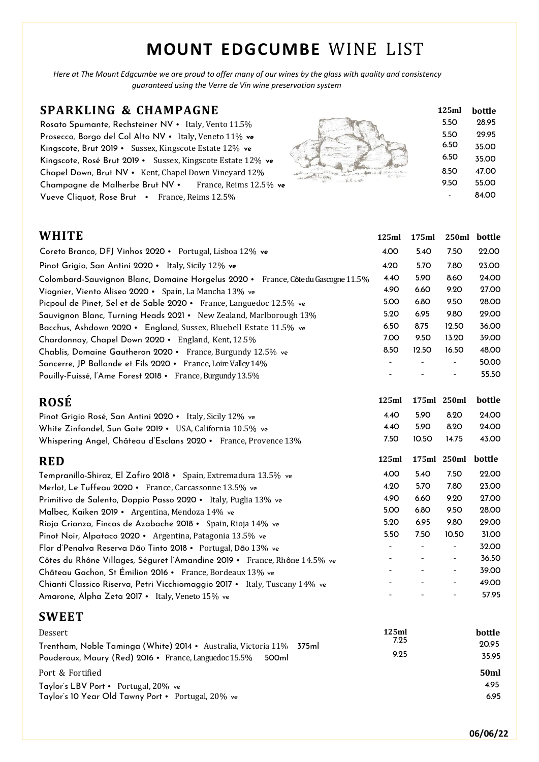# **MOUNT EDGCUMBE** WINE LIST

Here at The Mount Edgcumbe we are proud to offer many of our wines by the glass with quality and consistency *guaranteed using the Verre de Vin wine preservation system*

### **SPARKLING & CHAMPAGNE**

Rosato Spumante, Rechsteiner NV · Italy, Vento 11.5% Prosecco, Borgo del Col Alto NV · Italy, Veneto 11% ve Kingscote, Brut 2019 • Sussex, Kingscote Estate 12% **ve** Kingscote, Rosé Brut 2019 • Sussex, Kingscote Estate 12% **ve** Chapel Down, Brut NV • Kent, Chapel Down Vineyard 12% Champagne de Malherbe Brut NV · France, Reims 12.5% ve Vueve Cliquot, Rose Brut • France, Reims 12.5%



| 125ml | bottle |
|-------|--------|
| 5.50  | 28.95  |
| 5.50  | 29.95  |
| 6.50  | 35.00  |
| 6.50  | 35.00  |
| 8.50  | 47.00  |
| 9.50  | 55.00  |
|       | 84.00  |

| WHITE                                                                            | 125ml | 175ml | 250ml                    | bottle |
|----------------------------------------------------------------------------------|-------|-------|--------------------------|--------|
| Coreto Branco, DFJ Vinhos 2020 · Portugal, Lisboa 12% ve                         | 4.00  | 5.40  | 7.50                     | 22.00  |
| Pinot Grigio, San Antini 2020 · Italy, Sicily 12% ve                             | 4.20  | 5.70  | 7.80                     | 23.00  |
| Colombard-Sauvignon Blanc, Domaine Horgelus 2020 • France, Côtedu Gascogne 11.5% | 4.40  | 5.90  | 8.60                     | 24.00  |
| Viognier, Viento Aliseo 2020 • Spain, La Mancha 13% ve                           | 4.90  | 6.60  | 9.20                     | 27.00  |
| Picpoul de Pinet, Sel et de Sable 2020 · France, Languedoc 12.5% ve              | 5.00  | 6.80  | 9.50                     | 28.00  |
| Sauvignon Blanc, Turning Heads 2021 • New Zealand, Marlborough 13%               | 5.20  | 6.95  | 9.80                     | 29.00  |
| Bacchus, Ashdown 2020 • England, Sussex, Bluebell Estate 11.5% ve                | 6.50  | 8.75  | 12.50                    | 36.00  |
| Chardonnay, Chapel Down 2020 • England, Kent, 12.5%                              | 7.00  | 9.50  | 13.20                    | 39.00  |
| Chablis, Domaine Gautheron 2020 · France, Burgundy 12.5% ve                      | 8.50  | 12.50 | 16.50                    | 48.00  |
| Sancerre, JP Ballande et Fils 2020 · France, Loire Valley 14%                    |       |       |                          | 50.00  |
| Pouilly-Fuissé, l'Ame Forest 2018 · France, Burgundy 13.5%                       |       |       |                          | 55.50  |
|                                                                                  |       |       |                          |        |
| <b>ROSÉ</b>                                                                      | 125ml |       | 175ml 250ml              | bottle |
| Pinot Grigio Rosé, San Antini 2020 · Italy, Sicily 12% ve                        | 4.40  | 5.90  | 8.20                     | 24.00  |
| White Zinfandel, Sun Gate 2019 • USA, California 10.5% ve                        | 4.40  | 5.90  | 8.20                     | 24.00  |
| Whispering Angel, Château d'Esclans 2020 · France, Provence 13%                  | 7.50  | 10.50 | 14.75                    | 43.00  |
| <b>RED</b>                                                                       | 125ml |       | 175ml 250ml              | bottle |
| Tempranillo-Shiraz, El Zafiro 2018 • Spain, Extremadura 13.5% ve                 | 4.00  | 5.40  | 7.50                     | 22.00  |
| Merlot, Le Tuffeau 2020 · France, Carcassonne 13.5% ve                           | 4.20  | 5.70  | 7.80                     | 23.00  |
| Primitivo de Salento, Doppio Passo 2020 · Italy, Puglia 13% ve                   | 4.90  | 6.60  | 9.20                     | 27.00  |
| Malbec, Kaiken 2019 • Argentina, Mendoza 14% ve                                  | 5.00  | 6.80  | 9.50                     | 28.00  |
| Rioja Crianza, Fincas de Azabache 2018 • Spain, Rioja 14% ve                     | 5.20  | 6.95  | 9.80                     | 29.00  |
| Pinot Noir, Alpataco 2020 · Argentina, Patagonia 13.5% ve                        | 5.50  | 7.50  | 10.50                    | 31.00  |
|                                                                                  |       |       | $\overline{\phantom{a}}$ | 32.00  |
| Flor d'Penalva Reserva Dão Tinto 2018 · Portugal, Dão 13% ve                     |       |       |                          |        |

## Château Gachon, St Émilion 2016 • France, Bordeaux 13% ve<br>Chianti Classico Riserva, Petri Vicchiomaggio 2017 • Italy Tuscany 14% ve - - - - - - - - - - - - - 49.00 Chianti Classico Riserva, Petri Vicchiomaggio 2017 • Italy, Tuscany 14% ve Amarone, Alpha Zeta 2017 • Italy, Veneto 15% ve  $\sim$  - - - 57.95

| <b>SWEET</b>                                                         |       |        |
|----------------------------------------------------------------------|-------|--------|
| Dessert                                                              | 125ml | bottle |
| Trentham, Noble Taminga (White) 2014 • Australia, Victoria 11% 375ml | 7.25  | 20.95  |
| Pouderoux, Maury (Red) 2016 • France, Languedoc 15.5%<br>500ml       | 9.25  | 35.95  |
| Port & Fortified                                                     |       | 50ml   |
| Taylor's LBV Port • Portugal, 20% ve                                 |       | 4.95   |
| Taylor's 10 Year Old Tawny Port • Portugal, 20% ve                   |       | 6.95   |